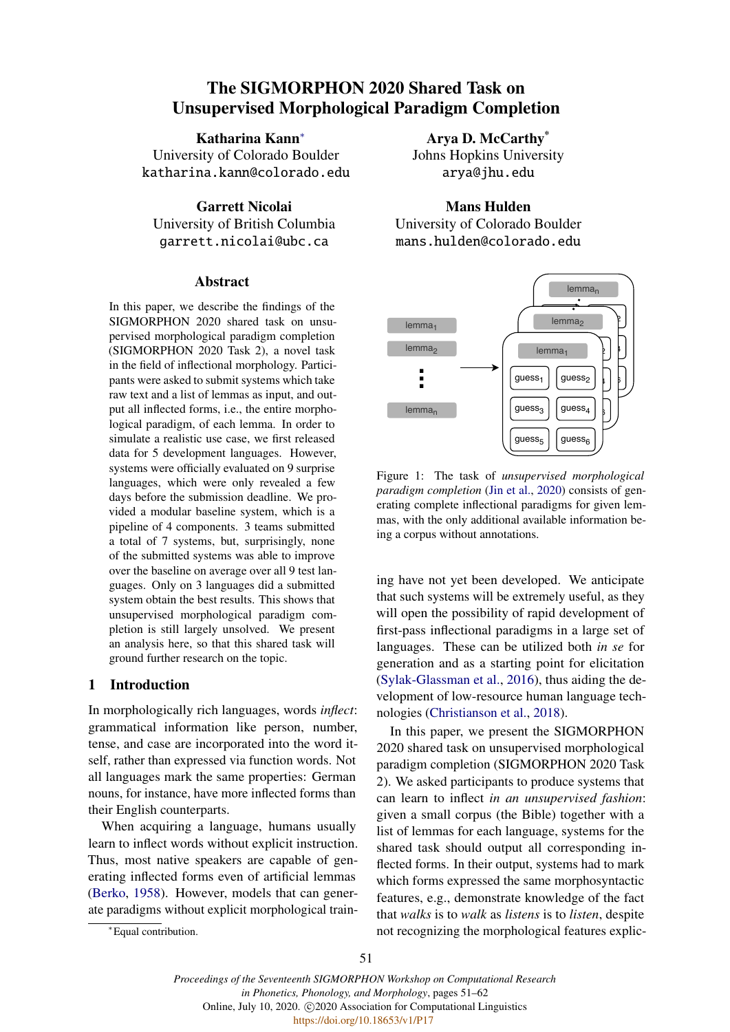# The SIGMORPHON 2020 Shared Task on Unsupervised Morphological Paradigm Completion

Katharina Kann<sup>∗</sup> University of Colorado Boulder katharina.kann@colorado.edu

Garrett Nicolai University of British Columbia garrett.nicolai@ubc.ca

#### Abstract

In this paper, we describe the findings of the SIGMORPHON 2020 shared task on unsupervised morphological paradigm completion (SIGMORPHON 2020 Task 2), a novel task in the field of inflectional morphology. Participants were asked to submit systems which take raw text and a list of lemmas as input, and output all inflected forms, i.e., the entire morphological paradigm, of each lemma. In order to simulate a realistic use case, we first released data for 5 development languages. However, systems were officially evaluated on 9 surprise languages, which were only revealed a few days before the submission deadline. We provided a modular baseline system, which is a pipeline of 4 components. 3 teams submitted a total of 7 systems, but, surprisingly, none of the submitted systems was able to improve over the baseline on average over all 9 test languages. Only on 3 languages did a submitted system obtain the best results. This shows that unsupervised morphological paradigm completion is still largely unsolved. We present an analysis here, so that this shared task will ground further research on the topic.

## 1 Introduction

In morphologically rich languages, words *inflect*: grammatical information like person, number, tense, and case are incorporated into the word itself, rather than expressed via function words. Not all languages mark the same properties: German nouns, for instance, have more inflected forms than their English counterparts.

When acquiring a language, humans usually learn to inflect words without explicit instruction. Thus, most native speakers are capable of generating inflected forms even of artificial lemmas [\(Berko,](#page-9-0) [1958\)](#page-9-0). However, models that can generate paradigms without explicit morphological train-

<sup>∗</sup>Equal contribution.

Arya D. McCarthy\* Johns Hopkins University

arya@jhu.edu

Mans Hulden University of Colorado Boulder mans.hulden@colorado.edu

<span id="page-0-0"></span>

Figure 1: The task of *unsupervised morphological paradigm completion* [\(Jin et al.,](#page-9-1) [2020\)](#page-9-1) consists of generating complete inflectional paradigms for given lemmas, with the only additional available information being a corpus without annotations.

ing have not yet been developed. We anticipate that such systems will be extremely useful, as they will open the possibility of rapid development of first-pass inflectional paradigms in a large set of languages. These can be utilized both *in se* for generation and as a starting point for elicitation [\(Sylak-Glassman et al.,](#page-10-0) [2016\)](#page-10-0), thus aiding the development of low-resource human language technologies [\(Christianson et al.,](#page-9-2) [2018\)](#page-9-2).

In this paper, we present the SIGMORPHON 2020 shared task on unsupervised morphological paradigm completion (SIGMORPHON 2020 Task 2). We asked participants to produce systems that can learn to inflect *in an unsupervised fashion*: given a small corpus (the Bible) together with a list of lemmas for each language, systems for the shared task should output all corresponding inflected forms. In their output, systems had to mark which forms expressed the same morphosyntactic features, e.g., demonstrate knowledge of the fact that *walks* is to *walk* as *listens* is to *listen*, despite not recognizing the morphological features explic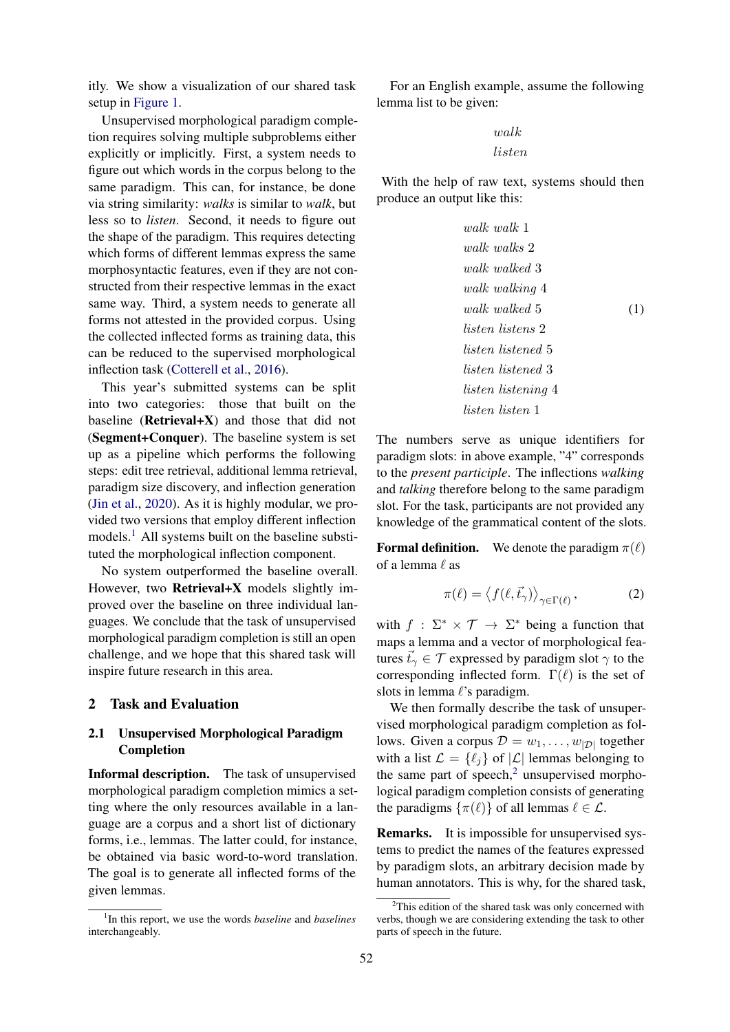itly. We show a visualization of our shared task setup in [Figure 1.](#page-0-0)

Unsupervised morphological paradigm completion requires solving multiple subproblems either explicitly or implicitly. First, a system needs to figure out which words in the corpus belong to the same paradigm. This can, for instance, be done via string similarity: *walks* is similar to *walk*, but less so to *listen*. Second, it needs to figure out the shape of the paradigm. This requires detecting which forms of different lemmas express the same morphosyntactic features, even if they are not constructed from their respective lemmas in the exact same way. Third, a system needs to generate all forms not attested in the provided corpus. Using the collected inflected forms as training data, this can be reduced to the supervised morphological inflection task [\(Cotterell et al.,](#page-9-3) [2016\)](#page-9-3).

This year's submitted systems can be split into two categories: those that built on the baseline ( $Retrieval+X$ ) and those that did not (Segment+Conquer). The baseline system is set up as a pipeline which performs the following steps: edit tree retrieval, additional lemma retrieval, paradigm size discovery, and inflection generation [\(Jin et al.,](#page-9-1) [2020\)](#page-9-1). As it is highly modular, we provided two versions that employ different inflection models.<sup>[1](#page-1-0)</sup> All systems built on the baseline substituted the morphological inflection component.

No system outperformed the baseline overall. However, two Retrieval+X models slightly improved over the baseline on three individual languages. We conclude that the task of unsupervised morphological paradigm completion is still an open challenge, and we hope that this shared task will inspire future research in this area.

## 2 Task and Evaluation

# 2.1 Unsupervised Morphological Paradigm Completion

Informal description. The task of unsupervised morphological paradigm completion mimics a setting where the only resources available in a language are a corpus and a short list of dictionary forms, i.e., lemmas. The latter could, for instance, be obtained via basic word-to-word translation. The goal is to generate all inflected forms of the given lemmas.

For an English example, assume the following lemma list to be given:

$$
walk \\ listen
$$

With the help of raw text, systems should then produce an output like this:

<span id="page-1-2"></span>
$$
walk \ walk \ 1
$$
\n
$$
walk \ walk \ 2
$$
\n
$$
walk \ walk \ 3
$$
\n
$$
walk \ walk \ 4
$$
\n
$$
walk \ walk \ 4
$$
\n
$$
walk \ walk \ 5
$$
\n
$$
listen \ list \ end \ 5
$$
\n
$$
listen \ list \ end \ 3
$$
\n
$$
listen \ list \ end \ 3
$$
\n
$$
listen \ list \ end \ 4
$$
\n
$$
listen \ list \ end \ 1
$$

The numbers serve as unique identifiers for paradigm slots: in above example, "4" corresponds to the *present participle*. The inflections *walking* and *talking* therefore belong to the same paradigm slot. For the task, participants are not provided any knowledge of the grammatical content of the slots.

**Formal definition.** We denote the paradigm  $\pi(\ell)$ of a lemma  $\ell$  as

$$
\pi(\ell) = \langle f(\ell, \vec{t}_\gamma) \rangle_{\gamma \in \Gamma(\ell)}, \tag{2}
$$

with  $f : \Sigma^* \times \mathcal{T} \to \Sigma^*$  being a function that maps a lemma and a vector of morphological features  $\vec{t}_{\gamma} \in \mathcal{T}$  expressed by paradigm slot  $\gamma$  to the corresponding inflected form.  $\Gamma(\ell)$  is the set of slots in lemma  $\ell$ 's paradigm.

We then formally describe the task of unsupervised morphological paradigm completion as follows. Given a corpus  $\mathcal{D} = w_1, \dots, w_{|\mathcal{D}|}$  together with a list  $\mathcal{L} = \{ \ell_i \}$  of  $|\mathcal{L}|$  lemmas belonging to the same part of speech, $2$  unsupervised morphological paradigm completion consists of generating the paradigms  $\{\pi(\ell)\}\$  of all lemmas  $\ell \in \mathcal{L}$ .

Remarks. It is impossible for unsupervised systems to predict the names of the features expressed by paradigm slots, an arbitrary decision made by human annotators. This is why, for the shared task,

<span id="page-1-0"></span><sup>1</sup> In this report, we use the words *baseline* and *baselines* interchangeably.

<span id="page-1-1"></span> $2$ This edition of the shared task was only concerned with verbs, though we are considering extending the task to other parts of speech in the future.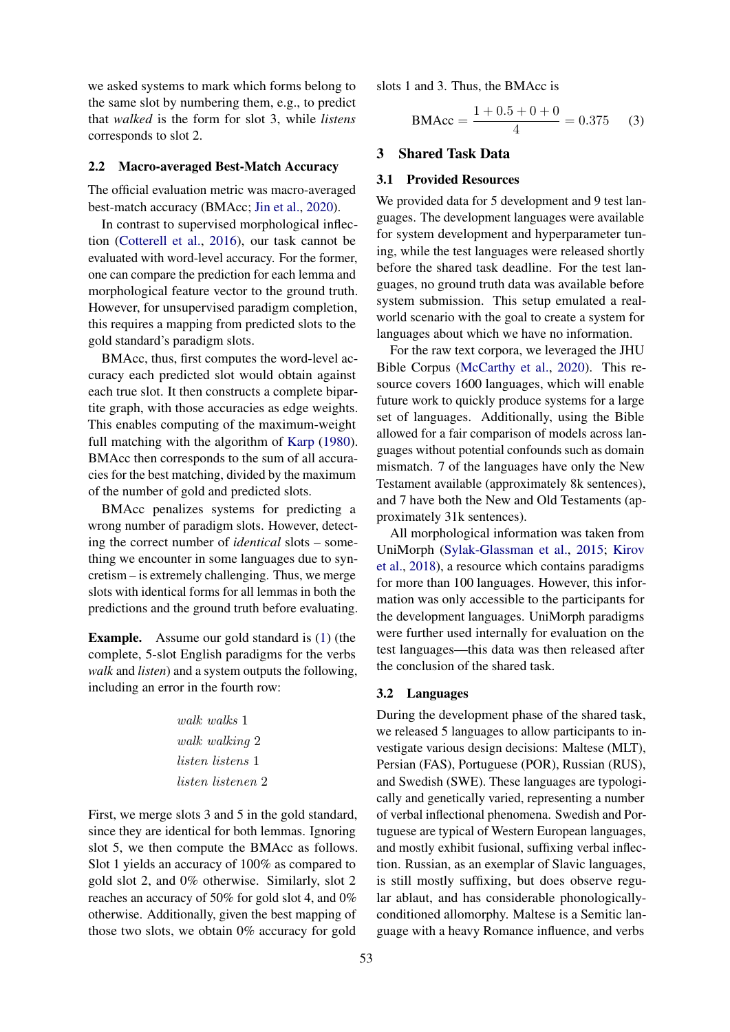we asked systems to mark which forms belong to the same slot by numbering them, e.g., to predict that *walked* is the form for slot 3, while *listens* corresponds to slot 2.

#### 2.2 Macro-averaged Best-Match Accuracy

The official evaluation metric was macro-averaged best-match accuracy (BMAcc; [Jin et al.,](#page-9-1) [2020\)](#page-9-1).

In contrast to supervised morphological inflection [\(Cotterell et al.,](#page-9-3) [2016\)](#page-9-3), our task cannot be evaluated with word-level accuracy. For the former, one can compare the prediction for each lemma and morphological feature vector to the ground truth. However, for unsupervised paradigm completion, this requires a mapping from predicted slots to the gold standard's paradigm slots.

BMAcc, thus, first computes the word-level accuracy each predicted slot would obtain against each true slot. It then constructs a complete bipartite graph, with those accuracies as edge weights. This enables computing of the maximum-weight full matching with the algorithm of [Karp](#page-9-4) [\(1980\)](#page-9-4). BMAcc then corresponds to the sum of all accuracies for the best matching, divided by the maximum of the number of gold and predicted slots.

BMAcc penalizes systems for predicting a wrong number of paradigm slots. However, detecting the correct number of *identical* slots – something we encounter in some languages due to syncretism – is extremely challenging. Thus, we merge slots with identical forms for all lemmas in both the predictions and the ground truth before evaluating.

Example. Assume our gold standard is [\(1\)](#page-1-2) (the complete, 5-slot English paradigms for the verbs *walk* and *listen*) and a system outputs the following, including an error in the fourth row:

> walk walks 1 walk walking 2 listen listens 1 listen listenen 2

First, we merge slots 3 and 5 in the gold standard, since they are identical for both lemmas. Ignoring slot 5, we then compute the BMAcc as follows. Slot 1 yields an accuracy of 100% as compared to gold slot 2, and 0% otherwise. Similarly, slot 2 reaches an accuracy of 50% for gold slot 4, and 0% otherwise. Additionally, given the best mapping of those two slots, we obtain 0% accuracy for gold

slots 1 and 3. Thus, the BMAcc is

$$
BMAcc = \frac{1 + 0.5 + 0 + 0}{4} = 0.375
$$
 (3)

# 3 Shared Task Data

# 3.1 Provided Resources

We provided data for 5 development and 9 test languages. The development languages were available for system development and hyperparameter tuning, while the test languages were released shortly before the shared task deadline. For the test languages, no ground truth data was available before system submission. This setup emulated a realworld scenario with the goal to create a system for languages about which we have no information.

For the raw text corpora, we leveraged the JHU Bible Corpus [\(McCarthy et al.,](#page-10-1) [2020\)](#page-10-1). This resource covers 1600 languages, which will enable future work to quickly produce systems for a large set of languages. Additionally, using the Bible allowed for a fair comparison of models across languages without potential confounds such as domain mismatch. 7 of the languages have only the New Testament available (approximately 8k sentences), and 7 have both the New and Old Testaments (approximately 31k sentences).

All morphological information was taken from UniMorph [\(Sylak-Glassman et al.,](#page-10-2) [2015;](#page-10-2) [Kirov](#page-9-5) [et al.,](#page-9-5) [2018\)](#page-9-5), a resource which contains paradigms for more than 100 languages. However, this information was only accessible to the participants for the development languages. UniMorph paradigms were further used internally for evaluation on the test languages—this data was then released after the conclusion of the shared task.

#### 3.2 Languages

During the development phase of the shared task, we released 5 languages to allow participants to investigate various design decisions: Maltese (MLT), Persian (FAS), Portuguese (POR), Russian (RUS), and Swedish (SWE). These languages are typologically and genetically varied, representing a number of verbal inflectional phenomena. Swedish and Portuguese are typical of Western European languages, and mostly exhibit fusional, suffixing verbal inflection. Russian, as an exemplar of Slavic languages, is still mostly suffixing, but does observe regular ablaut, and has considerable phonologicallyconditioned allomorphy. Maltese is a Semitic language with a heavy Romance influence, and verbs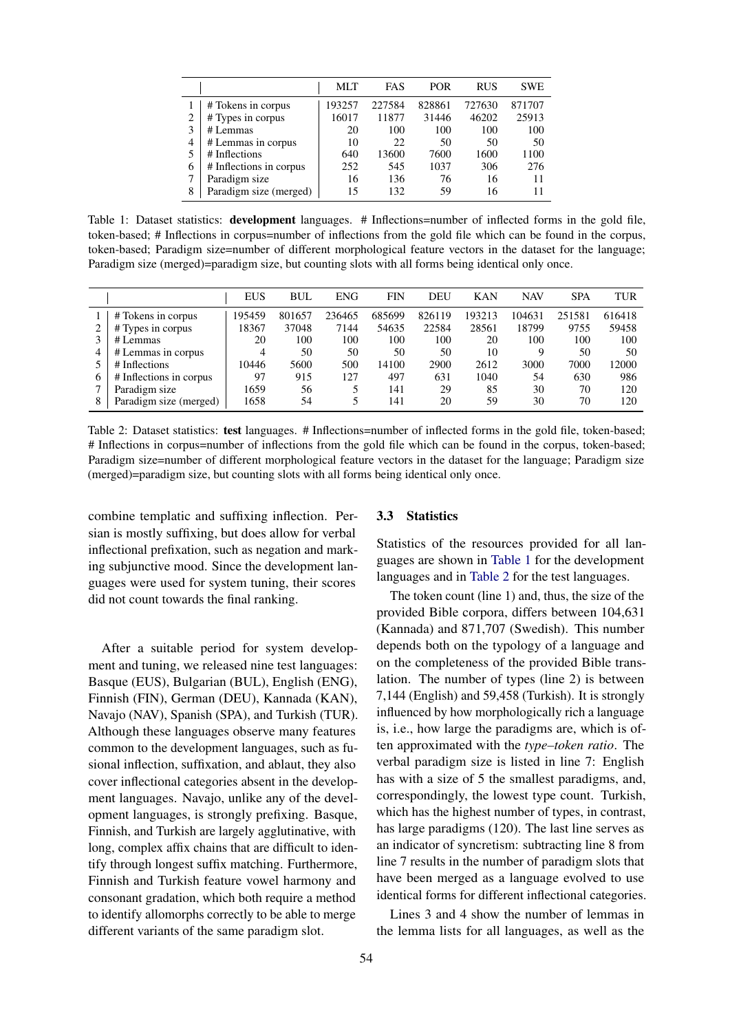<span id="page-3-0"></span>

|   |                         | MLT    | FAS    | <b>POR</b> | <b>RUS</b> | <b>SWE</b> |
|---|-------------------------|--------|--------|------------|------------|------------|
|   | # Tokens in corpus      | 193257 | 227584 | 828861     | 727630     | 871707     |
| ◠ | # Types in corpus       | 16017  | 11877  | 31446      | 46202      | 25913      |
| 3 | # Lemmas                | 20     | 100    | 100        | 100        | 100        |
| 4 | # Lemmas in corpus      | 10     | 22     | 50         | 50         | 50         |
| 5 | # Inflections           | 640    | 13600  | 7600       | 1600       | 1100       |
| 6 | # Inflections in corpus | 252    | 545    | 1037       | 306        | 276        |
| 7 | Paradigm size           | 16     | 136    | 76         | 16         | 11         |
| 8 | Paradigm size (merged)  | 15     | 132    | 59         | 16         | 11         |

Table 1: Dataset statistics: **development** languages. # Inflections=number of inflected forms in the gold file, token-based; # Inflections in corpus=number of inflections from the gold file which can be found in the corpus, token-based; Paradigm size=number of different morphological feature vectors in the dataset for the language; Paradigm size (merged)=paradigm size, but counting slots with all forms being identical only once.

<span id="page-3-1"></span>

|                         | <b>EUS</b> | <b>BUL</b> | <b>ENG</b> | <b>FIN</b> | DEU    | <b>KAN</b> | <b>NAV</b> | <b>SPA</b> | <b>TUR</b> |
|-------------------------|------------|------------|------------|------------|--------|------------|------------|------------|------------|
| # Tokens in corpus      | 195459     | 801657     | 236465     | 685699     | 826119 | 193213     | 104631     | 251581     | 616418     |
| # Types in corpus       | 18367      | 37048      | 7144       | 54635      | 22584  | 28561      | 18799      | 9755       | 59458      |
| # Lemmas                | 20         | 100        | 100        | 100        | 100    | 20         | 100        | 100        | 100        |
| # Lemmas in corpus      |            | 50         | 50         | 50         | 50     | 10         |            | 50         | 50         |
| # Inflections           | 10446      | 5600       | 500        | 14100      | 2900   | 2612       | 3000       | 7000       | 12000      |
| # Inflections in corpus | 97         | 915        | 127        | 497        | 631    | 1040       | 54         | 630        | 986        |
| Paradigm size           | 1659       | 56         |            | 141        | 29     | 85         | 30         | 70         | 120        |
| Paradigm size (merged)  | 1658       | 54         |            | 141        | 20     | 59         | 30         | 70         | 120        |

Table 2: Dataset statistics: test languages. # Inflections=number of inflected forms in the gold file, token-based; # Inflections in corpus=number of inflections from the gold file which can be found in the corpus, token-based; Paradigm size=number of different morphological feature vectors in the dataset for the language; Paradigm size (merged)=paradigm size, but counting slots with all forms being identical only once.

combine templatic and suffixing inflection. Persian is mostly suffixing, but does allow for verbal inflectional prefixation, such as negation and marking subjunctive mood. Since the development languages were used for system tuning, their scores did not count towards the final ranking.

After a suitable period for system development and tuning, we released nine test languages: Basque (EUS), Bulgarian (BUL), English (ENG), Finnish (FIN), German (DEU), Kannada (KAN), Navajo (NAV), Spanish (SPA), and Turkish (TUR). Although these languages observe many features common to the development languages, such as fusional inflection, suffixation, and ablaut, they also cover inflectional categories absent in the development languages. Navajo, unlike any of the development languages, is strongly prefixing. Basque, Finnish, and Turkish are largely agglutinative, with long, complex affix chains that are difficult to identify through longest suffix matching. Furthermore, Finnish and Turkish feature vowel harmony and consonant gradation, which both require a method to identify allomorphs correctly to be able to merge different variants of the same paradigm slot.

## 3.3 Statistics

Statistics of the resources provided for all languages are shown in [Table 1](#page-3-0) for the development languages and in [Table 2](#page-3-1) for the test languages.

The token count (line 1) and, thus, the size of the provided Bible corpora, differs between 104,631 (Kannada) and 871,707 (Swedish). This number depends both on the typology of a language and on the completeness of the provided Bible translation. The number of types (line 2) is between 7,144 (English) and 59,458 (Turkish). It is strongly influenced by how morphologically rich a language is, i.e., how large the paradigms are, which is often approximated with the *type–token ratio*. The verbal paradigm size is listed in line 7: English has with a size of 5 the smallest paradigms, and, correspondingly, the lowest type count. Turkish, which has the highest number of types, in contrast, has large paradigms (120). The last line serves as an indicator of syncretism: subtracting line 8 from line 7 results in the number of paradigm slots that have been merged as a language evolved to use identical forms for different inflectional categories.

Lines 3 and 4 show the number of lemmas in the lemma lists for all languages, as well as the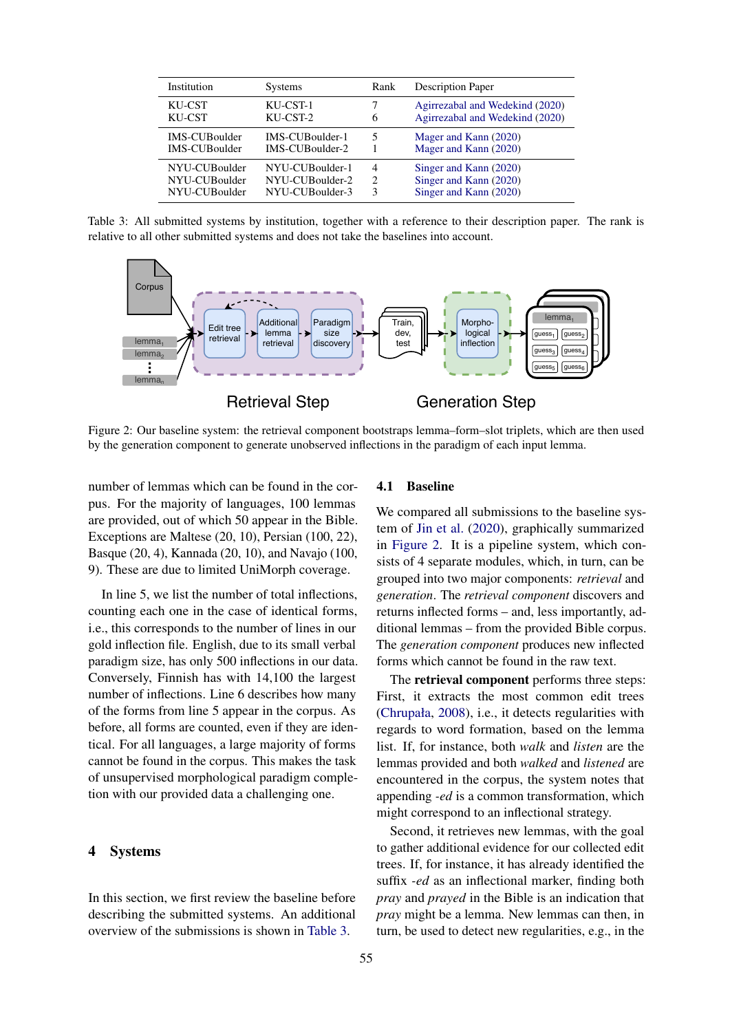<span id="page-4-0"></span>

| Institution          | <b>Systems</b>  | Rank | <b>Description Paper</b>        |
|----------------------|-----------------|------|---------------------------------|
| KU-CST               | KU-CST-1        | 6    | Agirrezabal and Wedekind (2020) |
| KU-CST               | KU-CST-2        |      | Agirrezabal and Wedekind (2020) |
| IMS-CUBoulder        | IMS-CUBoulder-1 |      | Mager and Kann (2020)           |
| <b>IMS-CUBoulder</b> | IMS-CUBoulder-2 |      | Mager and Kann (2020)           |
| NYU-CUBoulder        | NYU-CUBoulder-1 | 4    | Singer and Kann (2020)          |
| NYU-CUBoulder        | NYU-CUBoulder-2 | 2    | Singer and Kann (2020)          |
| NYU-CUBoulder        | NYU-CUBoulder-3 | 3    | Singer and Kann (2020)          |

Table 3: All submitted systems by institution, together with a reference to their description paper. The rank is relative to all other submitted systems and does not take the baselines into account.

<span id="page-4-1"></span>

Figure 2: Our baseline system: the retrieval component bootstraps lemma–form–slot triplets, which are then used by the generation component to generate unobserved inflections in the paradigm of each input lemma.

number of lemmas which can be found in the corpus. For the majority of languages, 100 lemmas are provided, out of which 50 appear in the Bible. Exceptions are Maltese (20, 10), Persian (100, 22), Basque (20, 4), Kannada (20, 10), and Navajo (100, 9). These are due to limited UniMorph coverage.

In line 5, we list the number of total inflections, counting each one in the case of identical forms, i.e., this corresponds to the number of lines in our gold inflection file. English, due to its small verbal paradigm size, has only 500 inflections in our data. Conversely, Finnish has with 14,100 the largest number of inflections. Line 6 describes how many of the forms from line 5 appear in the corpus. As before, all forms are counted, even if they are identical. For all languages, a large majority of forms cannot be found in the corpus. This makes the task of unsupervised morphological paradigm completion with our provided data a challenging one.

# 4 Systems

In this section, we first review the baseline before describing the submitted systems. An additional overview of the submissions is shown in [Table 3.](#page-4-0)

#### 4.1 Baseline

We compared all submissions to the baseline system of [Jin et al.](#page-9-1) [\(2020\)](#page-9-1), graphically summarized in [Figure 2.](#page-4-1) It is a pipeline system, which consists of 4 separate modules, which, in turn, can be grouped into two major components: *retrieval* and *generation*. The *retrieval component* discovers and returns inflected forms – and, less importantly, additional lemmas – from the provided Bible corpus. The *generation component* produces new inflected forms which cannot be found in the raw text.

The retrieval component performs three steps: First, it extracts the most common edit trees [\(Chrupała,](#page-9-7) [2008\)](#page-9-7), i.e., it detects regularities with regards to word formation, based on the lemma list. If, for instance, both *walk* and *listen* are the lemmas provided and both *walked* and *listened* are encountered in the corpus, the system notes that appending *-ed* is a common transformation, which might correspond to an inflectional strategy.

Second, it retrieves new lemmas, with the goal to gather additional evidence for our collected edit trees. If, for instance, it has already identified the suffix *-ed* as an inflectional marker, finding both *pray* and *prayed* in the Bible is an indication that *pray* might be a lemma. New lemmas can then, in turn, be used to detect new regularities, e.g., in the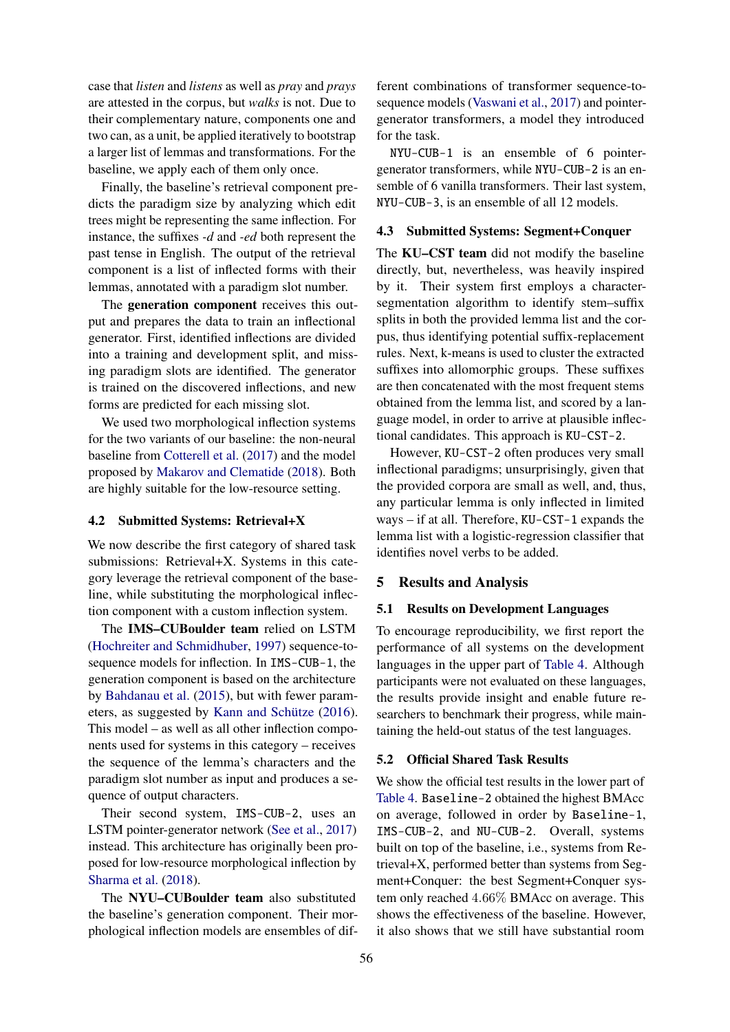case that *listen* and *listens* as well as *pray* and *prays* are attested in the corpus, but *walks* is not. Due to their complementary nature, components one and two can, as a unit, be applied iteratively to bootstrap a larger list of lemmas and transformations. For the baseline, we apply each of them only once.

Finally, the baseline's retrieval component predicts the paradigm size by analyzing which edit trees might be representing the same inflection. For instance, the suffixes *-d* and *-ed* both represent the past tense in English. The output of the retrieval component is a list of inflected forms with their lemmas, annotated with a paradigm slot number.

The generation component receives this output and prepares the data to train an inflectional generator. First, identified inflections are divided into a training and development split, and missing paradigm slots are identified. The generator is trained on the discovered inflections, and new forms are predicted for each missing slot.

We used two morphological inflection systems for the two variants of our baseline: the non-neural baseline from [Cotterell et al.](#page-9-8) [\(2017\)](#page-9-8) and the model proposed by [Makarov and Clematide](#page-10-5) [\(2018\)](#page-10-5). Both are highly suitable for the low-resource setting.

# 4.2 Submitted Systems: Retrieval+X

We now describe the first category of shared task submissions: Retrieval+X. Systems in this category leverage the retrieval component of the baseline, while substituting the morphological inflection component with a custom inflection system.

The IMS–CUBoulder team relied on LSTM [\(Hochreiter and Schmidhuber,](#page-9-9) [1997\)](#page-9-9) sequence-tosequence models for inflection. In IMS-CUB-1, the generation component is based on the architecture by [Bahdanau et al.](#page-9-10) [\(2015\)](#page-9-10), but with fewer parameters, as suggested by Kann and Schütze  $(2016)$ . This model – as well as all other inflection components used for systems in this category – receives the sequence of the lemma's characters and the paradigm slot number as input and produces a sequence of output characters.

Their second system, IMS-CUB-2, uses an LSTM pointer-generator network [\(See et al.,](#page-10-6) [2017\)](#page-10-6) instead. This architecture has originally been proposed for low-resource morphological inflection by [Sharma et al.](#page-10-7) [\(2018\)](#page-10-7).

The NYU–CUBoulder team also substituted the baseline's generation component. Their morphological inflection models are ensembles of dif-

ferent combinations of transformer sequence-tosequence models [\(Vaswani et al.,](#page-11-0) [2017\)](#page-11-0) and pointergenerator transformers, a model they introduced for the task.

NYU-CUB-1 is an ensemble of 6 pointergenerator transformers, while NYU-CUB-2 is an ensemble of 6 vanilla transformers. Their last system, NYU-CUB-3, is an ensemble of all 12 models.

## 4.3 Submitted Systems: Segment+Conquer

The KU–CST team did not modify the baseline directly, but, nevertheless, was heavily inspired by it. Their system first employs a charactersegmentation algorithm to identify stem–suffix splits in both the provided lemma list and the corpus, thus identifying potential suffix-replacement rules. Next, k-means is used to cluster the extracted suffixes into allomorphic groups. These suffixes are then concatenated with the most frequent stems obtained from the lemma list, and scored by a language model, in order to arrive at plausible inflectional candidates. This approach is KU-CST-2.

However, KU-CST-2 often produces very small inflectional paradigms; unsurprisingly, given that the provided corpora are small as well, and, thus, any particular lemma is only inflected in limited ways – if at all. Therefore, KU-CST-1 expands the lemma list with a logistic-regression classifier that identifies novel verbs to be added.

# 5 Results and Analysis

# 5.1 Results on Development Languages

To encourage reproducibility, we first report the performance of all systems on the development languages in the upper part of [Table 4.](#page-6-0) Although participants were not evaluated on these languages, the results provide insight and enable future researchers to benchmark their progress, while maintaining the held-out status of the test languages.

#### 5.2 Official Shared Task Results

We show the official test results in the lower part of [Table 4.](#page-6-0) Baseline-2 obtained the highest BMAcc on average, followed in order by Baseline-1, IMS-CUB-2, and NU-CUB-2. Overall, systems built on top of the baseline, i.e., systems from Retrieval+X, performed better than systems from Segment+Conquer: the best Segment+Conquer system only reached 4.66% BMAcc on average. This shows the effectiveness of the baseline. However, it also shows that we still have substantial room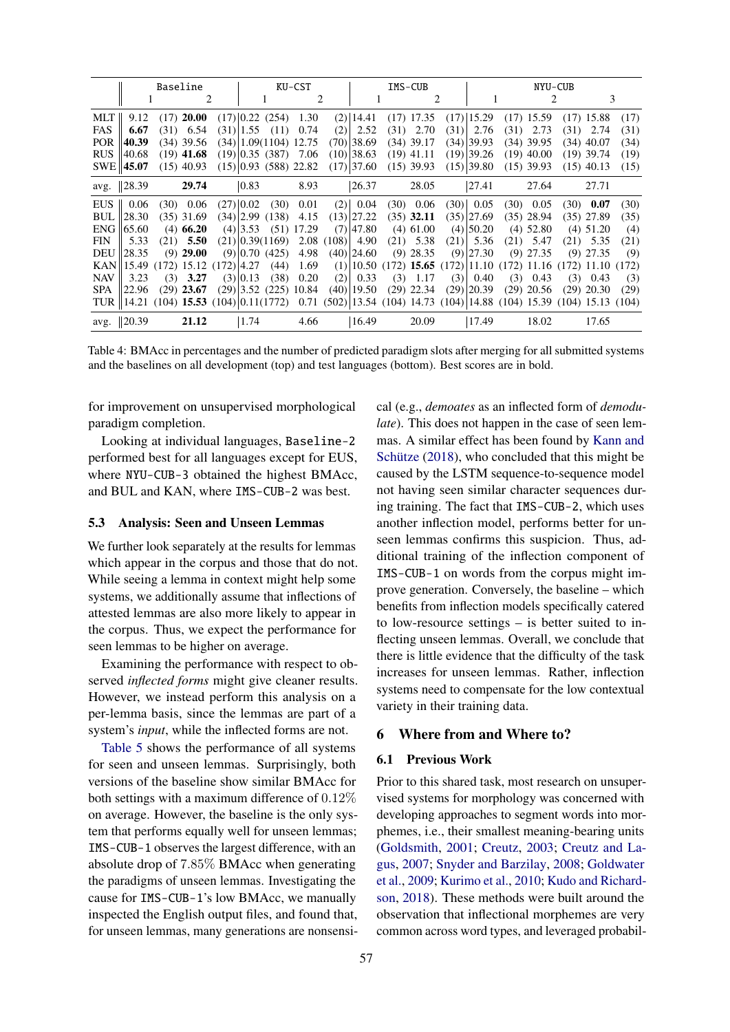<span id="page-6-0"></span>

| Baseline   |                                                                                                                        |     |               |              |                | KU-CST                     |       |           |                | IMS-CUB |              |  |                | NYU-CUB |              |  |                                                                    |      |  |  |
|------------|------------------------------------------------------------------------------------------------------------------------|-----|---------------|--------------|----------------|----------------------------|-------|-----------|----------------|---------|--------------|--|----------------|---------|--------------|--|--------------------------------------------------------------------|------|--|--|
|            |                                                                                                                        |     |               |              |                |                            |       | 2         |                |         | 2            |  |                |         | 2            |  | 3                                                                  |      |  |  |
| MLT        | 9.12                                                                                                                   |     | $(17)$ 20.00  |              |                | $(17)$ 0.22 $(254)$ 1.30   |       |           | $(2)$   14.41  |         | $(17)$ 17.35 |  | $(17)$   15.29 |         | $(17)$ 15.59 |  | $(17)$ 15.88                                                       | (17) |  |  |
| FAS        | 6.67                                                                                                                   |     | $(31)$ 6.54   |              |                | $(31)$  1.55 $(11)$        | 0.74  | (2)       | 2.52           |         | $(31)$ 2.70  |  | $(31)$ 2.76    |         | $(31)$ 2.73  |  | $(31)$ 2.74                                                        | (31) |  |  |
| POR 1      | 40.39                                                                                                                  |     | $(34)$ 39.56  |              |                | $(34)$   1.09(1104) 12.75  |       |           | $(70)$  38.69  |         | $(34)$ 39.17 |  | $(34)$  39.93  |         | $(34)$ 39.95 |  | $(34)$ 40.07                                                       | (34) |  |  |
| <b>RUS</b> | 40.68                                                                                                                  |     | $(19)$ 41.68  |              |                | $(19)$ 0.35 (387) 7.06     |       |           | $(10)$  38.63  |         | $(19)$ 41.11 |  | $(19)$  39.26  |         | $(19)$ 40.00 |  | $(19)$ 39.74                                                       | (19) |  |  |
|            | $SWE$ 45.07                                                                                                            |     | $(15)$ 40.93  |              |                | $(15)$  0.93 (588) 22.82   |       |           | $(17)$ 37.60   |         | $(15)$ 39.93 |  | $(15)$ 39.80   |         | $(15)$ 39.93 |  | $(15)$ 40.13                                                       | (15) |  |  |
|            | avg. 28.39                                                                                                             |     | 29.74         |              | $ 0.83\rangle$ |                            | 8.93  |           | 26.37          |         | 28.05        |  | 27.41          |         | 27.64        |  | 27.71                                                              |      |  |  |
| EUS        | 0.06                                                                                                                   |     | $(30)$ 0.06   |              | $(27)$ 0.02    | (30)                       | 0.01  |           | $(2)$ 0.04     |         | $(30)$ 0.06  |  | $(30)$ 0.05    |         | $(30)$ 0.05  |  | $(30)$ 0.07                                                        | (30) |  |  |
| BUL        | 28.30                                                                                                                  |     | $(35)$ 31.69  |              |                | $(34)$  2.99 (138)         | 4.15  |           | $(13)$  27.22  |         | $(35)$ 32.11 |  | (35) 27.69     |         | $(35)$ 28.94 |  | $(35)$ 27.89                                                       | (35) |  |  |
| ENG        | 65.60                                                                                                                  |     | $(4)$ 66.20   |              | $(4)$  3.53    | (51)                       | 17.29 |           | $(7)$  47.80   |         | $(4)$ 61.00  |  | $(4)$  50.20   |         | $(4)$ 52.80  |  | $(4)$ 51.20                                                        | (4)  |  |  |
| <b>FIN</b> | 5.33                                                                                                                   |     | $(21)$ 5.50   |              |                | $(21)$ 0.39 $(1169)$       |       | 2.08(108) | 4.90           |         | $(21)$ 5.38  |  | $(21)$ 5.36    |         | $(21)$ 5.47  |  | $(21)$ 5.35                                                        | (21) |  |  |
| DEU        | 128.35                                                                                                                 |     | $(9)$ 29.00   |              |                | $(9)$ 0.70 $(425)$         | 4.98  |           | $(40)$  24.60  |         | $(9)$ 28.35  |  | $(9)$  27.30   |         | $(9)$ 27.35  |  | $(9)$ 27.35                                                        | (9)  |  |  |
|            | $KAN$   15.49                                                                                                          |     | $(172)$ 15.12 | $(172)$ 4.27 |                | (44)                       | 1.69  |           |                |         |              |  |                |         |              |  | $(1)$  10.50 (172) 15.65 (172) 11.10 (172) 11.16 (172) 11.10 (172) |      |  |  |
| <b>NAV</b> | 3.23                                                                                                                   | (3) | 3.27          |              | $(3)$ 0.13     | (38)                       | 0.20  | (2)       | 0.33           |         | $(3)$ 1.17   |  | $(3)$ 0.40     |         | $(3)$ 0.43   |  | $(3)$ 0.43                                                         | (3)  |  |  |
| SPA        | 122.96                                                                                                                 |     | $(29)$ 23.67  |              |                | $(29)$  3.52 $(225)$ 10.84 |       |           | $(40)$   19.50 |         | $(29)$ 22.34 |  | $(29)$  20.39  |         | $(29)$ 20.56 |  | $(29)$ 20.30                                                       | (29) |  |  |
|            | TUR   14.21 (104) 15.53 (104)   0.11 (1772) 0.71 (502)   13.54 (104) 14.73 (104)   14.88 (104) 15.39 (104) 15.13 (104) |     |               |              |                |                            |       |           |                |         |              |  |                |         |              |  |                                                                    |      |  |  |
|            | avg. 20.39                                                                                                             |     | 21.12         |              | 1.74           |                            | 4.66  |           | 16.49          |         | 20.09        |  | 17.49          |         | 18.02        |  | 17.65                                                              |      |  |  |

Table 4: BMAcc in percentages and the number of predicted paradigm slots after merging for all submitted systems and the baselines on all development (top) and test languages (bottom). Best scores are in bold.

for improvement on unsupervised morphological paradigm completion.

Looking at individual languages, Baseline-2 performed best for all languages except for EUS, where NYU-CUB-3 obtained the highest BMAcc, and BUL and KAN, where IMS-CUB-2 was best.

#### 5.3 Analysis: Seen and Unseen Lemmas

We further look separately at the results for lemmas which appear in the corpus and those that do not. While seeing a lemma in context might help some systems, we additionally assume that inflections of attested lemmas are also more likely to appear in the corpus. Thus, we expect the performance for seen lemmas to be higher on average.

Examining the performance with respect to observed *inflected forms* might give cleaner results. However, we instead perform this analysis on a per-lemma basis, since the lemmas are part of a system's *input*, while the inflected forms are not.

[Table 5](#page-7-0) shows the performance of all systems for seen and unseen lemmas. Surprisingly, both versions of the baseline show similar BMAcc for both settings with a maximum difference of 0.12% on average. However, the baseline is the only system that performs equally well for unseen lemmas; IMS-CUB-1 observes the largest difference, with an absolute drop of 7.85% BMAcc when generating the paradigms of unseen lemmas. Investigating the cause for IMS-CUB-1's low BMAcc, we manually inspected the English output files, and found that, for unseen lemmas, many generations are nonsensical (e.g., *demoates* as an inflected form of *demodulate*). This does not happen in the case of seen lemmas. A similar effect has been found by [Kann and](#page-9-12) Schütze  $(2018)$ , who concluded that this might be caused by the LSTM sequence-to-sequence model not having seen similar character sequences during training. The fact that IMS-CUB-2, which uses another inflection model, performs better for unseen lemmas confirms this suspicion. Thus, additional training of the inflection component of IMS-CUB-1 on words from the corpus might improve generation. Conversely, the baseline – which benefits from inflection models specifically catered to low-resource settings – is better suited to inflecting unseen lemmas. Overall, we conclude that there is little evidence that the difficulty of the task increases for unseen lemmas. Rather, inflection systems need to compensate for the low contextual variety in their training data.

# 6 Where from and Where to?

## 6.1 Previous Work

Prior to this shared task, most research on unsupervised systems for morphology was concerned with developing approaches to segment words into morphemes, i.e., their smallest meaning-bearing units [\(Goldsmith,](#page-9-13) [2001;](#page-9-13) [Creutz,](#page-9-14) [2003;](#page-9-14) [Creutz and La](#page-9-15)[gus,](#page-9-15) [2007;](#page-9-15) [Snyder and Barzilay,](#page-10-8) [2008;](#page-10-8) [Goldwater](#page-9-16) [et al.,](#page-9-16) [2009;](#page-9-16) [Kurimo et al.,](#page-10-9) [2010;](#page-10-9) [Kudo and Richard](#page-10-10)[son,](#page-10-10) [2018\)](#page-10-10). These methods were built around the observation that inflectional morphemes are very common across word types, and leveraged probabil-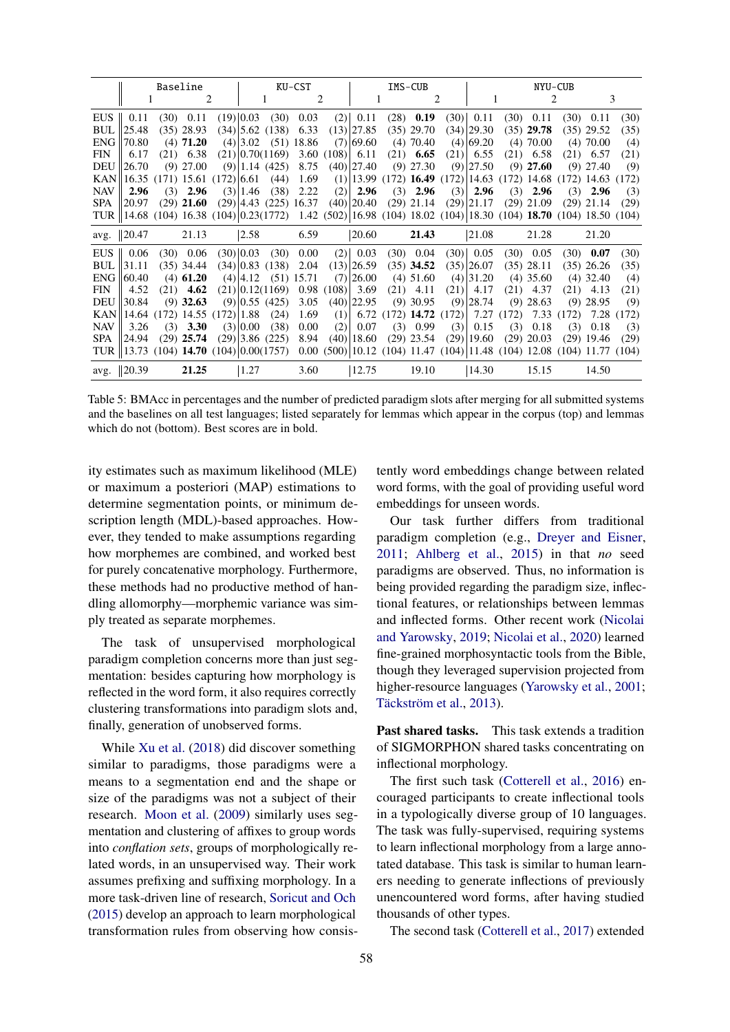<span id="page-7-0"></span>

|            | Baseline                                                                                                           |  |                            |  | KU-CST                           |                          |                         |                  | IMS-CUB        |  |                          |     | NYU-CUB       |  |              |  |                                                                           |      |
|------------|--------------------------------------------------------------------------------------------------------------------|--|----------------------------|--|----------------------------------|--------------------------|-------------------------|------------------|----------------|--|--------------------------|-----|---------------|--|--------------|--|---------------------------------------------------------------------------|------|
|            |                                                                                                                    |  | 2<br>1                     |  | $\mathcal{D}_{\mathcal{L}}$<br>1 |                          |                         | 1                |                |  | 2<br>3                   |     |               |  |              |  |                                                                           |      |
|            | EUS $\parallel$ 0.11                                                                                               |  | $(30)$ 0.11                |  | $(19)$ 0.03                      | (30)                     | 0.03                    |                  | $(2)$ 0.11     |  | $(28)$ 0.19              |     | $(30)$ 0.11   |  | $(30)$ 0.11  |  | $(30)$ 0.11                                                               | (30) |
|            | $BUL$   25.48                                                                                                      |  | $(35)$ 28.93               |  |                                  | $(34)$  5.62 (138)       | 6.33                    |                  | $(13)$  27.85  |  | $(35)$ 29.70             |     | $(34)$  29.30 |  | $(35)$ 29.78 |  | $(35)$ 29.52                                                              | (35) |
| ENG        | 70.80                                                                                                              |  | $(4)$ 71.20                |  |                                  |                          | $(4)$  3.02 (51) 18.86  |                  | $(7)$  69.60   |  | $(4)$ 70.40              |     | $(4)$ 69.20   |  | $(4)$ 70.00  |  | $(4)$ 70.00                                                               | (4)  |
| <b>FIN</b> | 6.17                                                                                                               |  | $(21)$ 6.38                |  |                                  | $(21)$ 0.70(1169)        |                         | $3.60(108)$ 6.11 |                |  | $(21)$ 6.65              |     | $(21)$ 6.55   |  | $(21)$ 6.58  |  | $(21)$ 6.57                                                               | (21) |
| DEU        | 26.70                                                                                                              |  | $(9)$ 27.00                |  |                                  | $(9)$   1.14 $(425)$     | 8.75                    |                  | $(40)$  27.40  |  | $(9)$ 27.30              |     | $(9)$  27.50  |  | $(9)$ 27.60  |  | $(9)$ 27.40                                                               | (9)  |
|            | KAN  16.35 (171) 15.61 (172) 6.61                                                                                  |  |                            |  |                                  | (44)                     | 1.69                    |                  |                |  |                          |     |               |  |              |  | $(1)$  13.99 (172) <b>16.49</b> (172) 14.63 (172) 14.68 (172) 14.63 (172) |      |
| <b>NAV</b> | 2.96                                                                                                               |  | $(3)$ 2.96                 |  | $(3)$   1.46                     | (38)                     | 2.22                    | (2)              | 2.96           |  | $(3)$ 2.96               |     | $(3)$ 2.96    |  | $(3)$ 2.96   |  | $(3)$ 2.96                                                                | (3)  |
| SPA        | 20.97                                                                                                              |  | $(29)$ 21.60               |  |                                  |                          | $(29)$ 4.43 (225) 16.37 |                  |                |  | $(40)$  20.40 (29) 21.14 |     | $(29)$  21.17 |  | $(29)$ 21.09 |  | $(29)$ 21.14                                                              | (29) |
|            | TUR   14.68 (104) 16.38 (104) 0.23(1772) 1.42 (502) 16.98 (104) 18.02 (104) 18.30 (104) 18.70 (104) 18.50 (104)    |  |                            |  |                                  |                          |                         |                  |                |  |                          |     |               |  |              |  |                                                                           |      |
|            | avg. $  20.47$                                                                                                     |  | 21.13                      |  | 2.58                             |                          | 6.59                    |                  | 20.60          |  | 21.43                    |     | 21.08         |  | 21.28        |  | 21.20                                                                     |      |
|            | EUS $\parallel$ 0.06                                                                                               |  | $(30)$ 0.06                |  | $(30)$ 0.03                      | (30)                     | $0.00\,$                |                  | $(2)$ 0.03     |  | $(30)$ 0.04              |     | $(30)$ 0.05   |  | $(30)$ 0.05  |  | $(30)$ 0.07                                                               | (30) |
| BUL        | 31.11                                                                                                              |  | $(35)$ 34.44               |  |                                  | (34) 0.83(138)           | 2.04                    |                  | $(13)$  26.59  |  | $(35)$ 34.52             |     | (35) 26.07    |  | $(35)$ 28.11 |  | $(35)$ 26.26                                                              | (35) |
|            | $ENG$   60.40                                                                                                      |  | $(4)$ 61.20                |  |                                  | $(4)$  4.12 $(51)$ 15.71 |                         |                  | $(7)$  26.00   |  | $(4)$ 51.60              |     | $(4)$ 31.20   |  | $(4)$ 35.60  |  | $(4)$ 32.40                                                               | (4)  |
| <b>FIN</b> | 4.52                                                                                                               |  | $(21)$ 4.62                |  |                                  | (21) 0.12(1169)          |                         | 0.98(108)        | 3.69           |  | $(21)$ 4.11              |     | $(21)$ 4.17   |  | $(21)$ 4.37  |  | $(21)$ 4.13                                                               | (21) |
|            | <b>DEU</b> 130.84                                                                                                  |  | $(9)$ 32.63                |  |                                  | $(9)$ 0.55 (425)         | 3.05                    |                  | $(40)$  22.95  |  | $(9)$ 30.95              |     | $(9)$  28.74  |  | $(9)$ 28.63  |  | $(9)$ 28.95                                                               | (9)  |
|            | KAN  14.64                                                                                                         |  | $(172)$ 14.55 $(172)$ 1.88 |  |                                  | (24)                     | 1.69                    | (1)              |                |  |                          |     |               |  |              |  | 6.72 (172) 14.72 (172) 7.27 (172) 7.33 (172) 7.28 (172)                   |      |
| <b>NAV</b> | 3.26                                                                                                               |  | $(3)$ 3.30                 |  | $(3)$ 0.00                       | (38)                     | 0.00                    | (2)              | 0.07           |  | $(3)$ 0.99               | (3) | 0.15          |  | $(3)$ 0.18   |  | $(3)$ 0.18                                                                | (3)  |
| SPA        | 124.94                                                                                                             |  | $(29)$ 25.74               |  |                                  | $(29)$ 3.86 $(225)$      | 8.94                    |                  | $(40)$   18.60 |  | $(29)$ 23.54             |     | $(29)$  19.60 |  | $(29)$ 20.03 |  | $(29)$ 19.46                                                              | (29) |
|            | TUR   13.73 (104) 14.70 (104)  0.00(1757) 0.00 (500)  10.12 (104) 11.47 (104)  11.48 (104) 12.08 (104) 11.77 (104) |  |                            |  |                                  |                          |                         |                  |                |  |                          |     |               |  |              |  |                                                                           |      |
|            | avg. 20.39                                                                                                         |  | 21.25                      |  | 1.27                             |                          | 3.60                    |                  | 12.75          |  | 19.10                    |     | 14.30         |  | 15.15        |  | 14.50                                                                     |      |

Table 5: BMAcc in percentages and the number of predicted paradigm slots after merging for all submitted systems and the baselines on all test languages; listed separately for lemmas which appear in the corpus (top) and lemmas which do not (bottom). Best scores are in bold.

ity estimates such as maximum likelihood (MLE) or maximum a posteriori (MAP) estimations to determine segmentation points, or minimum description length (MDL)-based approaches. However, they tended to make assumptions regarding how morphemes are combined, and worked best for purely concatenative morphology. Furthermore, these methods had no productive method of handling allomorphy—morphemic variance was simply treated as separate morphemes.

The task of unsupervised morphological paradigm completion concerns more than just segmentation: besides capturing how morphology is reflected in the word form, it also requires correctly clustering transformations into paradigm slots and, finally, generation of unobserved forms.

While [Xu et al.](#page-11-1) [\(2018\)](#page-11-1) did discover something similar to paradigms, those paradigms were a means to a segmentation end and the shape or size of the paradigms was not a subject of their research. [Moon et al.](#page-10-11) [\(2009\)](#page-10-11) similarly uses segmentation and clustering of affixes to group words into *conflation sets*, groups of morphologically related words, in an unsupervised way. Their work assumes prefixing and suffixing morphology. In a more task-driven line of research, [Soricut and Och](#page-10-12) [\(2015\)](#page-10-12) develop an approach to learn morphological transformation rules from observing how consis-

tently word embeddings change between related word forms, with the goal of providing useful word embeddings for unseen words.

Our task further differs from traditional paradigm completion (e.g., [Dreyer and Eisner,](#page-9-17) [2011;](#page-9-17) [Ahlberg et al.,](#page-9-18) [2015\)](#page-9-18) in that *no* seed paradigms are observed. Thus, no information is being provided regarding the paradigm size, inflectional features, or relationships between lemmas and inflected forms. Other recent work [\(Nicolai](#page-10-13) [and Yarowsky,](#page-10-13) [2019;](#page-10-13) [Nicolai et al.,](#page-10-14) [2020\)](#page-10-14) learned fine-grained morphosyntactic tools from the Bible, though they leveraged supervision projected from higher-resource languages [\(Yarowsky et al.,](#page-11-2) [2001;](#page-11-2) Täckström et al., [2013\)](#page-11-3).

Past shared tasks. This task extends a tradition of SIGMORPHON shared tasks concentrating on inflectional morphology.

The first such task [\(Cotterell et al.,](#page-9-3) [2016\)](#page-9-3) encouraged participants to create inflectional tools in a typologically diverse group of 10 languages. The task was fully-supervised, requiring systems to learn inflectional morphology from a large annotated database. This task is similar to human learners needing to generate inflections of previously unencountered word forms, after having studied thousands of other types.

The second task [\(Cotterell et al.,](#page-9-8) [2017\)](#page-9-8) extended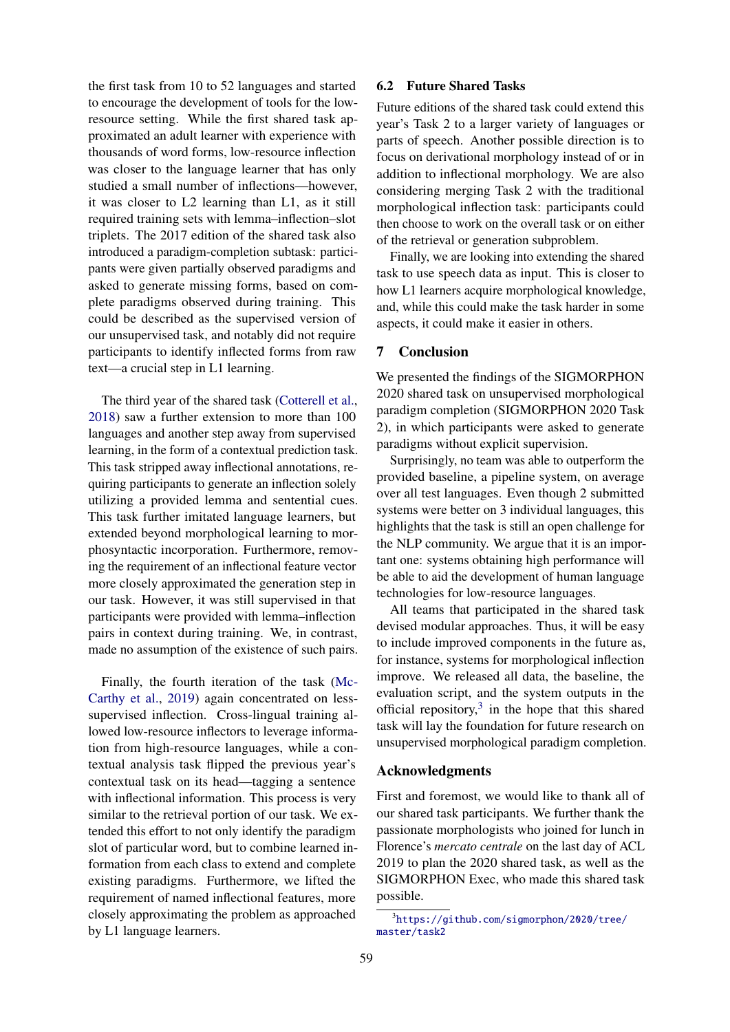the first task from 10 to 52 languages and started to encourage the development of tools for the lowresource setting. While the first shared task approximated an adult learner with experience with thousands of word forms, low-resource inflection was closer to the language learner that has only studied a small number of inflections—however, it was closer to L2 learning than L1, as it still required training sets with lemma–inflection–slot triplets. The 2017 edition of the shared task also introduced a paradigm-completion subtask: participants were given partially observed paradigms and asked to generate missing forms, based on complete paradigms observed during training. This could be described as the supervised version of our unsupervised task, and notably did not require participants to identify inflected forms from raw text—a crucial step in L1 learning.

The third year of the shared task [\(Cotterell et al.,](#page-9-19) [2018\)](#page-9-19) saw a further extension to more than 100 languages and another step away from supervised learning, in the form of a contextual prediction task. This task stripped away inflectional annotations, requiring participants to generate an inflection solely utilizing a provided lemma and sentential cues. This task further imitated language learners, but extended beyond morphological learning to morphosyntactic incorporation. Furthermore, removing the requirement of an inflectional feature vector more closely approximated the generation step in our task. However, it was still supervised in that participants were provided with lemma–inflection pairs in context during training. We, in contrast, made no assumption of the existence of such pairs.

Finally, the fourth iteration of the task [\(Mc-](#page-10-15)[Carthy et al.,](#page-10-15) [2019\)](#page-10-15) again concentrated on lesssupervised inflection. Cross-lingual training allowed low-resource inflectors to leverage information from high-resource languages, while a contextual analysis task flipped the previous year's contextual task on its head—tagging a sentence with inflectional information. This process is very similar to the retrieval portion of our task. We extended this effort to not only identify the paradigm slot of particular word, but to combine learned information from each class to extend and complete existing paradigms. Furthermore, we lifted the requirement of named inflectional features, more closely approximating the problem as approached by L1 language learners.

#### 6.2 Future Shared Tasks

Future editions of the shared task could extend this year's Task 2 to a larger variety of languages or parts of speech. Another possible direction is to focus on derivational morphology instead of or in addition to inflectional morphology. We are also considering merging Task 2 with the traditional morphological inflection task: participants could then choose to work on the overall task or on either of the retrieval or generation subproblem.

Finally, we are looking into extending the shared task to use speech data as input. This is closer to how L1 learners acquire morphological knowledge, and, while this could make the task harder in some aspects, it could make it easier in others.

## 7 Conclusion

We presented the findings of the SIGMORPHON 2020 shared task on unsupervised morphological paradigm completion (SIGMORPHON 2020 Task 2), in which participants were asked to generate paradigms without explicit supervision.

Surprisingly, no team was able to outperform the provided baseline, a pipeline system, on average over all test languages. Even though 2 submitted systems were better on 3 individual languages, this highlights that the task is still an open challenge for the NLP community. We argue that it is an important one: systems obtaining high performance will be able to aid the development of human language technologies for low-resource languages.

All teams that participated in the shared task devised modular approaches. Thus, it will be easy to include improved components in the future as, for instance, systems for morphological inflection improve. We released all data, the baseline, the evaluation script, and the system outputs in the official repository, $3$  in the hope that this shared task will lay the foundation for future research on unsupervised morphological paradigm completion.

## Acknowledgments

First and foremost, we would like to thank all of our shared task participants. We further thank the passionate morphologists who joined for lunch in Florence's *mercato centrale* on the last day of ACL 2019 to plan the 2020 shared task, as well as the SIGMORPHON Exec, who made this shared task possible.

<span id="page-8-0"></span><sup>3</sup> [https://github.com/sigmorphon/2020/tree/](https://github.com/sigmorphon/2020/tree/master/task2) [master/task2](https://github.com/sigmorphon/2020/tree/master/task2)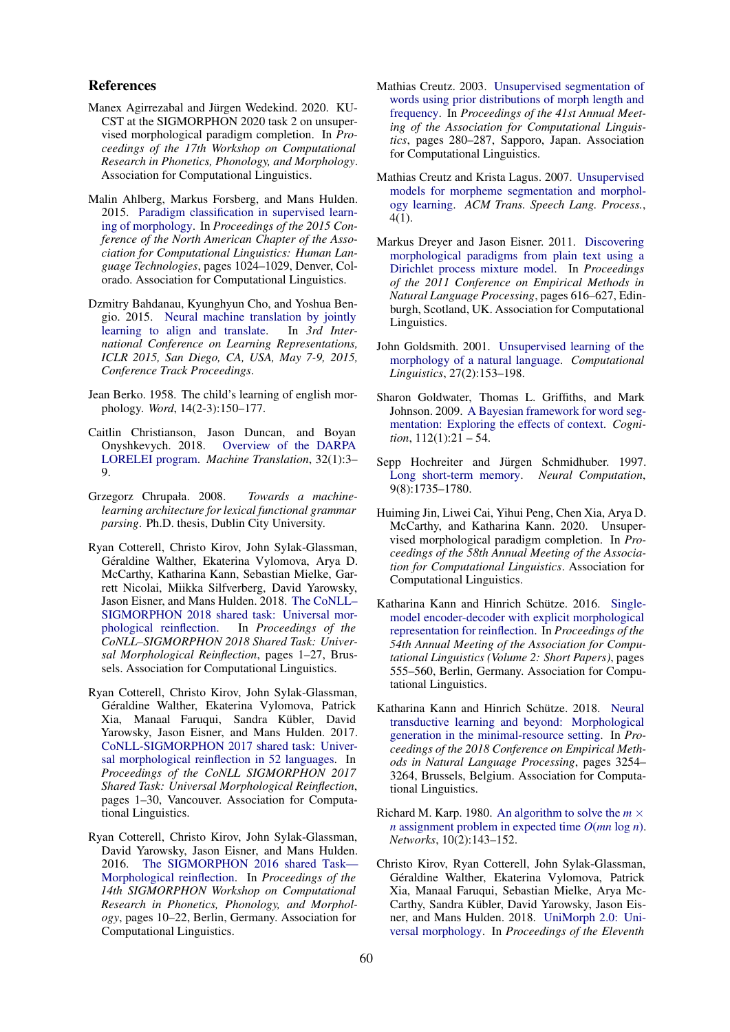#### References

- <span id="page-9-6"></span>Manex Agirrezabal and Jürgen Wedekind. 2020. KU-CST at the SIGMORPHON 2020 task 2 on unsupervised morphological paradigm completion. In *Proceedings of the 17th Workshop on Computational Research in Phonetics, Phonology, and Morphology*. Association for Computational Linguistics.
- <span id="page-9-18"></span>Malin Ahlberg, Markus Forsberg, and Mans Hulden. 2015. [Paradigm classification in supervised learn](https://doi.org/10.3115/v1/N15-1107)[ing of morphology.](https://doi.org/10.3115/v1/N15-1107) In *Proceedings of the 2015 Conference of the North American Chapter of the Association for Computational Linguistics: Human Language Technologies*, pages 1024–1029, Denver, Colorado. Association for Computational Linguistics.
- <span id="page-9-10"></span>Dzmitry Bahdanau, Kyunghyun Cho, and Yoshua Bengio. 2015. [Neural machine translation by jointly](http://arxiv.org/abs/1409.0473) [learning to align and translate.](http://arxiv.org/abs/1409.0473) In *3rd International Conference on Learning Representations, ICLR 2015, San Diego, CA, USA, May 7-9, 2015, Conference Track Proceedings*.
- <span id="page-9-0"></span>Jean Berko. 1958. The child's learning of english morphology. *Word*, 14(2-3):150–177.
- <span id="page-9-2"></span>Caitlin Christianson, Jason Duncan, and Boyan Onyshkevych. 2018. [Overview of the DARPA](https://doi.org/10.1007/s10590-017-9212-4) [LORELEI program.](https://doi.org/10.1007/s10590-017-9212-4) *Machine Translation*, 32(1):3– 9.
- <span id="page-9-7"></span>Grzegorz Chrupała. 2008. *Towards a machinelearning architecture for lexical functional grammar parsing*. Ph.D. thesis, Dublin City University.
- <span id="page-9-19"></span>Ryan Cotterell, Christo Kirov, John Sylak-Glassman, Géraldine Walther, Ekaterina Vylomova, Arya D. McCarthy, Katharina Kann, Sebastian Mielke, Garrett Nicolai, Miikka Silfverberg, David Yarowsky, Jason Eisner, and Mans Hulden. 2018. [The CoNLL–](https://doi.org/10.18653/v1/K18-3001) [SIGMORPHON 2018 shared task: Universal mor](https://doi.org/10.18653/v1/K18-3001)[phological reinflection.](https://doi.org/10.18653/v1/K18-3001) In *Proceedings of the CoNLL–SIGMORPHON 2018 Shared Task: Universal Morphological Reinflection*, pages 1–27, Brussels. Association for Computational Linguistics.
- <span id="page-9-8"></span>Ryan Cotterell, Christo Kirov, John Sylak-Glassman, Géraldine Walther, Ekaterina Vylomova, Patrick Xia, Manaal Faruqui, Sandra Kübler, David Yarowsky, Jason Eisner, and Mans Hulden. 2017. [CoNLL-SIGMORPHON 2017 shared task: Univer](https://doi.org/10.18653/v1/K17-2001)[sal morphological reinflection in 52 languages.](https://doi.org/10.18653/v1/K17-2001) In *Proceedings of the CoNLL SIGMORPHON 2017 Shared Task: Universal Morphological Reinflection*, pages 1–30, Vancouver. Association for Computational Linguistics.
- <span id="page-9-3"></span>Ryan Cotterell, Christo Kirov, John Sylak-Glassman, David Yarowsky, Jason Eisner, and Mans Hulden. 2016. [The SIGMORPHON 2016 shared Task—](https://doi.org/10.18653/v1/W16-2002) [Morphological reinflection.](https://doi.org/10.18653/v1/W16-2002) In *Proceedings of the 14th SIGMORPHON Workshop on Computational Research in Phonetics, Phonology, and Morphology*, pages 10–22, Berlin, Germany. Association for Computational Linguistics.
- <span id="page-9-14"></span>Mathias Creutz. 2003. [Unsupervised segmentation of](https://doi.org/10.3115/1075096.1075132) [words using prior distributions of morph length and](https://doi.org/10.3115/1075096.1075132) [frequency.](https://doi.org/10.3115/1075096.1075132) In *Proceedings of the 41st Annual Meeting of the Association for Computational Linguistics*, pages 280–287, Sapporo, Japan. Association for Computational Linguistics.
- <span id="page-9-15"></span>Mathias Creutz and Krista Lagus. 2007. [Unsupervised](https://doi.org/10.1145/1187415.1187418) [models for morpheme segmentation and morphol](https://doi.org/10.1145/1187415.1187418)[ogy learning.](https://doi.org/10.1145/1187415.1187418) *ACM Trans. Speech Lang. Process.*, 4(1).
- <span id="page-9-17"></span>Markus Dreyer and Jason Eisner. 2011. [Discovering](https://www.aclweb.org/anthology/D11-1057) [morphological paradigms from plain text using a](https://www.aclweb.org/anthology/D11-1057) [Dirichlet process mixture model.](https://www.aclweb.org/anthology/D11-1057) In *Proceedings of the 2011 Conference on Empirical Methods in Natural Language Processing*, pages 616–627, Edinburgh, Scotland, UK. Association for Computational Linguistics.
- <span id="page-9-13"></span>John Goldsmith. 2001. [Unsupervised learning of the](https://doi.org/10.1162/089120101750300490) [morphology of a natural language.](https://doi.org/10.1162/089120101750300490) *Computational Linguistics*, 27(2):153–198.
- <span id="page-9-16"></span>Sharon Goldwater, Thomas L. Griffiths, and Mark Johnson. 2009. [A Bayesian framework for word seg](https://doi.org/https://doi.org/10.1016/j.cognition.2009.03.008)[mentation: Exploring the effects of context.](https://doi.org/https://doi.org/10.1016/j.cognition.2009.03.008) *Cognition*, 112(1):21 – 54.
- <span id="page-9-9"></span>Sepp Hochreiter and Jürgen Schmidhuber. 1997. [Long short-term memory.](https://doi.org/10.1162/neco.1997.9.8.1735) *Neural Computation*, 9(8):1735–1780.
- <span id="page-9-1"></span>Huiming Jin, Liwei Cai, Yihui Peng, Chen Xia, Arya D. McCarthy, and Katharina Kann. 2020. Unsupervised morphological paradigm completion. In *Proceedings of the 58th Annual Meeting of the Association for Computational Linguistics*. Association for Computational Linguistics.
- <span id="page-9-11"></span>Katharina Kann and Hinrich Schütze. 2016. [Single](https://doi.org/10.18653/v1/P16-2090)[model encoder-decoder with explicit morphological](https://doi.org/10.18653/v1/P16-2090) [representation for reinflection.](https://doi.org/10.18653/v1/P16-2090) In *Proceedings of the 54th Annual Meeting of the Association for Computational Linguistics (Volume 2: Short Papers)*, pages 555–560, Berlin, Germany. Association for Computational Linguistics.
- <span id="page-9-12"></span>Katharina Kann and Hinrich Schütze. 2018. [Neural](https://doi.org/10.18653/v1/D18-1363) [transductive learning and beyond: Morphological](https://doi.org/10.18653/v1/D18-1363) [generation in the minimal-resource setting.](https://doi.org/10.18653/v1/D18-1363) In *Proceedings of the 2018 Conference on Empirical Methods in Natural Language Processing*, pages 3254– 3264, Brussels, Belgium. Association for Computational Linguistics.
- <span id="page-9-4"></span>Richard M. Karp. 1980. [An algorithm to solve the](https://doi.org/10.1002/net.3230100205)  $m \times$ *n* [assignment problem in expected time](https://doi.org/10.1002/net.3230100205) *O*(*mn* log *n*). *Networks*, 10(2):143–152.
- <span id="page-9-5"></span>Christo Kirov, Ryan Cotterell, John Sylak-Glassman, Géraldine Walther, Ekaterina Vylomova, Patrick Xia, Manaal Faruqui, Sebastian Mielke, Arya Mc-Carthy, Sandra Kübler, David Yarowsky, Jason Eisner, and Mans Hulden. 2018. [UniMorph 2.0: Uni](https://www.aclweb.org/anthology/L18-1293)[versal morphology.](https://www.aclweb.org/anthology/L18-1293) In *Proceedings of the Eleventh*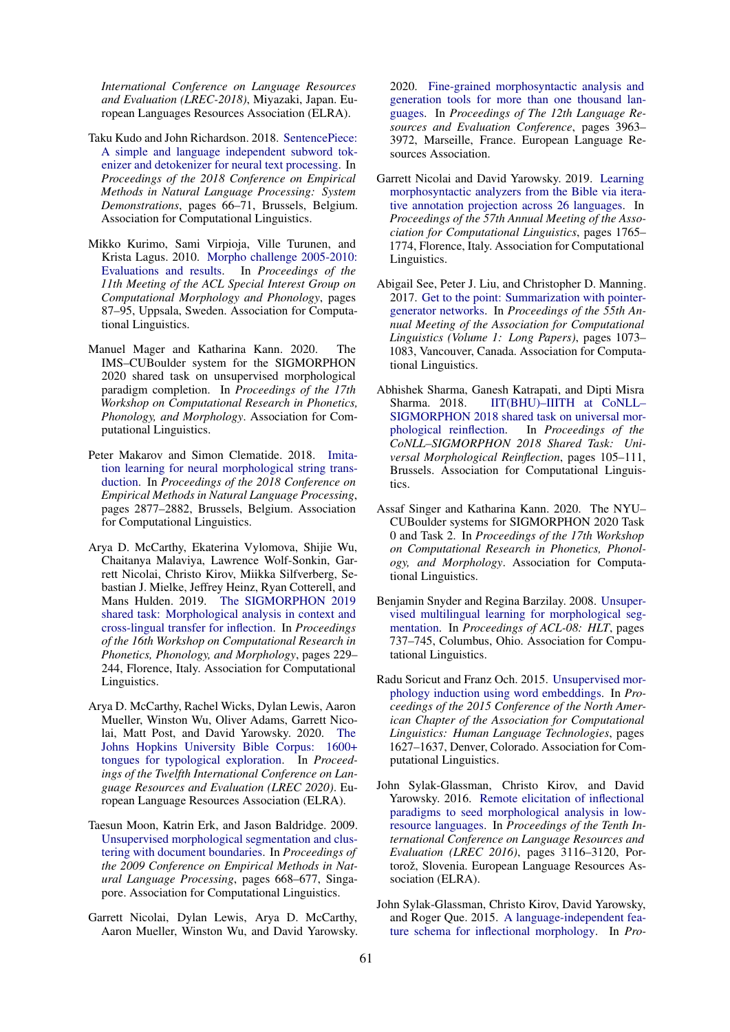*International Conference on Language Resources and Evaluation (LREC-2018)*, Miyazaki, Japan. European Languages Resources Association (ELRA).

- <span id="page-10-10"></span>Taku Kudo and John Richardson. 2018. [SentencePiece:](https://doi.org/10.18653/v1/D18-2012) [A simple and language independent subword tok](https://doi.org/10.18653/v1/D18-2012)[enizer and detokenizer for neural text processing.](https://doi.org/10.18653/v1/D18-2012) In *Proceedings of the 2018 Conference on Empirical Methods in Natural Language Processing: System Demonstrations*, pages 66–71, Brussels, Belgium. Association for Computational Linguistics.
- <span id="page-10-9"></span>Mikko Kurimo, Sami Virpioja, Ville Turunen, and Krista Lagus. 2010. [Morpho challenge 2005-2010:](https://www.aclweb.org/anthology/W10-2211) [Evaluations and results.](https://www.aclweb.org/anthology/W10-2211) In *Proceedings of the 11th Meeting of the ACL Special Interest Group on Computational Morphology and Phonology*, pages 87–95, Uppsala, Sweden. Association for Computational Linguistics.
- <span id="page-10-3"></span>Manuel Mager and Katharina Kann. 2020. The IMS–CUBoulder system for the SIGMORPHON 2020 shared task on unsupervised morphological paradigm completion. In *Proceedings of the 17th Workshop on Computational Research in Phonetics, Phonology, and Morphology*. Association for Computational Linguistics.
- <span id="page-10-5"></span>Peter Makarov and Simon Clematide. 2018. [Imita](https://doi.org/10.18653/v1/D18-1314)[tion learning for neural morphological string trans](https://doi.org/10.18653/v1/D18-1314)[duction.](https://doi.org/10.18653/v1/D18-1314) In *Proceedings of the 2018 Conference on Empirical Methods in Natural Language Processing*, pages 2877–2882, Brussels, Belgium. Association for Computational Linguistics.
- <span id="page-10-15"></span>Arya D. McCarthy, Ekaterina Vylomova, Shijie Wu, Chaitanya Malaviya, Lawrence Wolf-Sonkin, Garrett Nicolai, Christo Kirov, Miikka Silfverberg, Sebastian J. Mielke, Jeffrey Heinz, Ryan Cotterell, and Mans Hulden. 2019. [The SIGMORPHON 2019](https://doi.org/10.18653/v1/W19-4226) [shared task: Morphological analysis in context and](https://doi.org/10.18653/v1/W19-4226) [cross-lingual transfer for inflection.](https://doi.org/10.18653/v1/W19-4226) In *Proceedings of the 16th Workshop on Computational Research in Phonetics, Phonology, and Morphology*, pages 229– 244, Florence, Italy. Association for Computational Linguistics.
- <span id="page-10-1"></span>Arya D. McCarthy, Rachel Wicks, Dylan Lewis, Aaron Mueller, Winston Wu, Oliver Adams, Garrett Nicolai, Matt Post, and David Yarowsky. 2020. [The](https://www.aclweb.org/anthology/2020.lrec-1.352) [Johns Hopkins University Bible Corpus: 1600+](https://www.aclweb.org/anthology/2020.lrec-1.352) [tongues for typological exploration.](https://www.aclweb.org/anthology/2020.lrec-1.352) In *Proceedings of the Twelfth International Conference on Language Resources and Evaluation (LREC 2020)*. European Language Resources Association (ELRA).
- <span id="page-10-11"></span>Taesun Moon, Katrin Erk, and Jason Baldridge. 2009. [Unsupervised morphological segmentation and clus](https://www.aclweb.org/anthology/D09-1070)[tering with document boundaries.](https://www.aclweb.org/anthology/D09-1070) In *Proceedings of the 2009 Conference on Empirical Methods in Natural Language Processing*, pages 668–677, Singapore. Association for Computational Linguistics.
- <span id="page-10-14"></span>Garrett Nicolai, Dylan Lewis, Arya D. McCarthy, Aaron Mueller, Winston Wu, and David Yarowsky.

2020. [Fine-grained morphosyntactic analysis and](https://www.aclweb.org/anthology/2020.lrec-1.488) [generation tools for more than one thousand lan](https://www.aclweb.org/anthology/2020.lrec-1.488)[guages.](https://www.aclweb.org/anthology/2020.lrec-1.488) In *Proceedings of The 12th Language Resources and Evaluation Conference*, pages 3963– 3972, Marseille, France. European Language Resources Association.

- <span id="page-10-13"></span>Garrett Nicolai and David Yarowsky. 2019. [Learning](https://doi.org/10.18653/v1/P19-1172) [morphosyntactic analyzers from the Bible via itera](https://doi.org/10.18653/v1/P19-1172)[tive annotation projection across 26 languages.](https://doi.org/10.18653/v1/P19-1172) In *Proceedings of the 57th Annual Meeting of the Association for Computational Linguistics*, pages 1765– 1774, Florence, Italy. Association for Computational Linguistics.
- <span id="page-10-6"></span>Abigail See, Peter J. Liu, and Christopher D. Manning. 2017. [Get to the point: Summarization with pointer](https://doi.org/10.18653/v1/P17-1099)[generator networks.](https://doi.org/10.18653/v1/P17-1099) In *Proceedings of the 55th Annual Meeting of the Association for Computational Linguistics (Volume 1: Long Papers)*, pages 1073– 1083, Vancouver, Canada. Association for Computational Linguistics.
- <span id="page-10-7"></span>Abhishek Sharma, Ganesh Katrapati, and Dipti Misra Sharma. 2018. IIT(BHU)-IIITH at CoNLL-[SIGMORPHON 2018 shared task on universal mor](https://doi.org/10.18653/v1/K18-3013)[phological reinflection.](https://doi.org/10.18653/v1/K18-3013) In *Proceedings of the CoNLL–SIGMORPHON 2018 Shared Task: Universal Morphological Reinflection*, pages 105–111, Brussels. Association for Computational Linguistics.
- <span id="page-10-4"></span>Assaf Singer and Katharina Kann. 2020. The NYU– CUBoulder systems for SIGMORPHON 2020 Task 0 and Task 2. In *Proceedings of the 17th Workshop on Computational Research in Phonetics, Phonology, and Morphology*. Association for Computational Linguistics.
- <span id="page-10-8"></span>Benjamin Snyder and Regina Barzilay. 2008. [Unsuper](https://www.aclweb.org/anthology/P08-1084)[vised multilingual learning for morphological seg](https://www.aclweb.org/anthology/P08-1084)[mentation.](https://www.aclweb.org/anthology/P08-1084) In *Proceedings of ACL-08: HLT*, pages 737–745, Columbus, Ohio. Association for Computational Linguistics.
- <span id="page-10-12"></span>Radu Soricut and Franz Och. 2015. [Unsupervised mor](https://doi.org/10.3115/v1/N15-1186)[phology induction using word embeddings.](https://doi.org/10.3115/v1/N15-1186) In *Proceedings of the 2015 Conference of the North American Chapter of the Association for Computational Linguistics: Human Language Technologies*, pages 1627–1637, Denver, Colorado. Association for Computational Linguistics.
- <span id="page-10-0"></span>John Sylak-Glassman, Christo Kirov, and David Yarowsky. 2016. [Remote elicitation of inflectional](https://www.aclweb.org/anthology/L16-1497) [paradigms to seed morphological analysis in low](https://www.aclweb.org/anthology/L16-1497)[resource languages.](https://www.aclweb.org/anthology/L16-1497) In *Proceedings of the Tenth International Conference on Language Resources and Evaluation (LREC 2016)*, pages 3116–3120, Portorož, Slovenia. European Language Resources Association (ELRA).
- <span id="page-10-2"></span>John Sylak-Glassman, Christo Kirov, David Yarowsky, and Roger Que. 2015. [A language-independent fea](https://doi.org/10.3115/v1/P15-2111)[ture schema for inflectional morphology.](https://doi.org/10.3115/v1/P15-2111) In *Pro-*